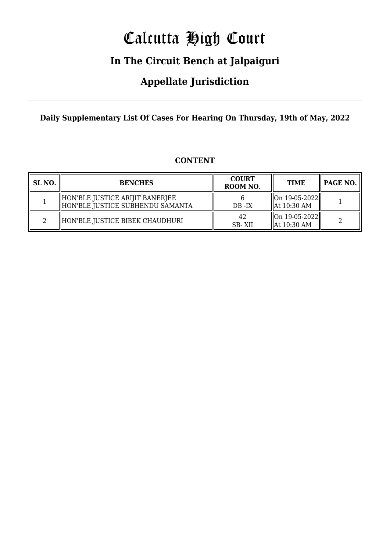## Calcutta High Court

### **In The Circuit Bench at Jalpaiguri**

### **Appellate Jurisdiction**

**Daily Supplementary List Of Cases For Hearing On Thursday, 19th of May, 2022**

| SL <sub>NO.</sub> | <b>BENCHES</b>                                                      | <b>COURT</b><br>ROOM NO. | <b>TIME</b>                                                   | PAGE NO. |
|-------------------|---------------------------------------------------------------------|--------------------------|---------------------------------------------------------------|----------|
|                   | HON'BLE JUSTICE ARIJIT BANERJEE<br>HON'BLE JUSTICE SUBHENDU SAMANTA | $DB - IX$                | $\ $ On 19-05-2022<br>$\parallel$ At 10:30 AM                 |          |
|                   | HON'BLE JUSTICE BIBEK CHAUDHURI                                     | 42<br>SB-XII             | $\left\  \text{On } 19 - 05 - 2022 \right\ $<br>  At 10:30 AM |          |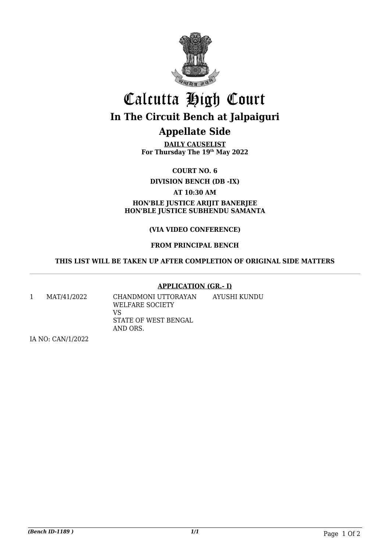

# Calcutta High Court **In The Circuit Bench at Jalpaiguri**

**Appellate Side**

**DAILY CAUSELIST For Thursday The 19th May 2022**

**COURT NO. 6**

**DIVISION BENCH (DB -IX)**

**AT 10:30 AM**

**HON'BLE JUSTICE ARIJIT BANERJEE HON'BLE JUSTICE SUBHENDU SAMANTA**

#### **(VIA VIDEO CONFERENCE)**

#### **FROM PRINCIPAL BENCH**

#### **THIS LIST WILL BE TAKEN UP AFTER COMPLETION OF ORIGINAL SIDE MATTERS**

#### **APPLICATION (GR.- I)**

1 MAT/41/2022 CHANDMONI UTTORAYAN WELFARE SOCIETY VS STATE OF WEST BENGAL AND ORS. AYUSHI KUNDU

IA NO: CAN/1/2022